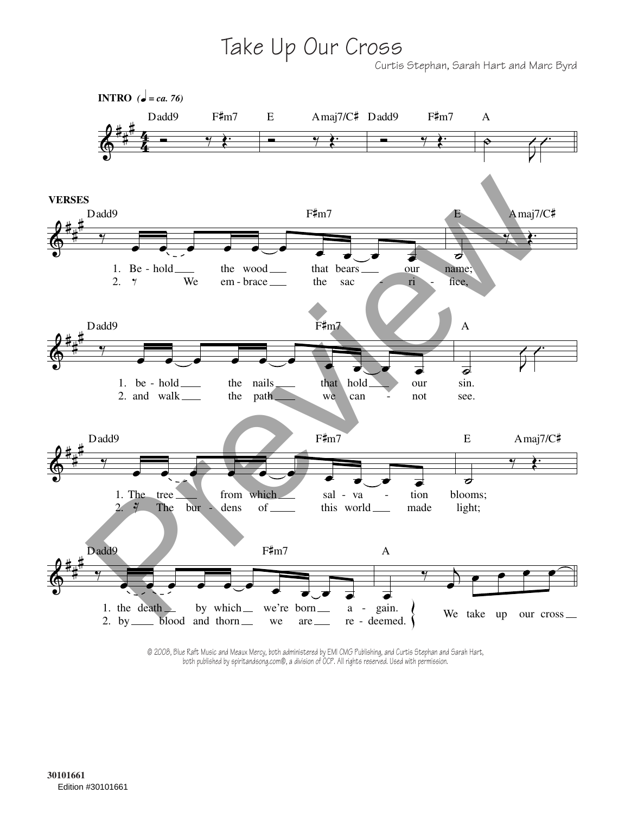Take Up Our Cross

Curtis Stephan, Sarah Hart and Marc Byrd



© 2008, Blue Raft Music and Meaux Mercy, both administered by EMI CMG Publishing, and Curtis Stephan and Sarah Hart, both published by spiritandsong.com®, a division of OCP. All rights reserved. Used with permission.